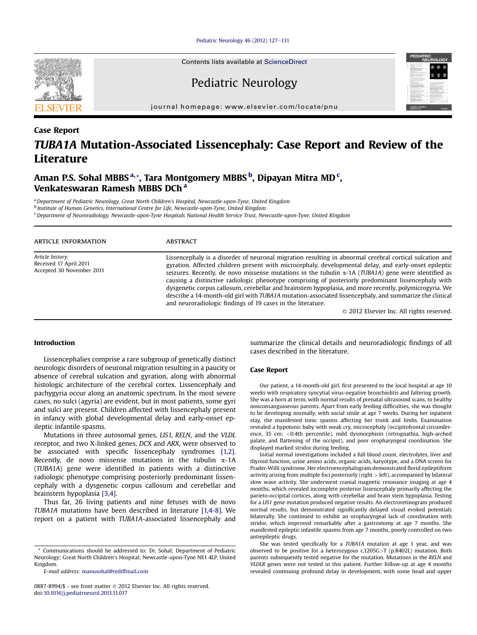[Pediatric Neurology 46 \(2012\) 127](http://dx.doi.org/10.1016/j.pediatrneurol.2011.11.017)-[131](http://dx.doi.org/10.1016/j.pediatrneurol.2011.11.017)

Pediatric Neurology

journal homepage: [www.elsevier.com/locate/pnu](http://www.elsevier.com/locate/pnu)

# Case Report TUBA1A Mutation-Associated Lissencephaly: Case Report and Review of the Literature

Aman P.S. Sohal MBBS <sup>a,</sup>\*, Tara Montgomery MBBS <sup>b</sup>, Dipayan Mitra MD <sup>c</sup>, Venkateswaran Ramesh MBBS DCh <sup>a</sup>

a Department of Pediatric Neurology, Great North Children's Hospital, Newcastle-upon-Tyne, United Kingdom

<sup>b</sup> Institute of Human Genetics, International Centre for Life, Newcastle-upon-Tyne, United Kingdom

<sup>c</sup> Department of Neuroradiology, Newcastle-upon-Tyne Hospitals National Health Service Trust, Newcastle-upon-Tyne, United Kingdom

| ARTICLE INFORMATION                                                     | <b>ABSTRACT</b>                                                                                                                                                                                                                                                                                                                                                                                                                                                                                                                                                                                                                                                                                                                                                        |
|-------------------------------------------------------------------------|------------------------------------------------------------------------------------------------------------------------------------------------------------------------------------------------------------------------------------------------------------------------------------------------------------------------------------------------------------------------------------------------------------------------------------------------------------------------------------------------------------------------------------------------------------------------------------------------------------------------------------------------------------------------------------------------------------------------------------------------------------------------|
| Article history:<br>Received 17 April 2011<br>Accepted 30 November 2011 | Lissencephaly is a disorder of neuronal migration resulting in abnormal cerebral cortical sulcation and<br>gyration. Affected children present with microcephaly, developmental delay, and early-onset epileptic<br>seizures. Recently, de novo missense mutations in the tubulin $\alpha$ -1A (TUBA1A) gene were identified as<br>causing a distinctive radiologic phenotype comprising of posteriorly predominant lissencephaly with<br>dysgenetic corpus callosum, cerebellar and brainstem hypoplasia, and more recently, polymicrogyria. We<br>describe a 14-month-old girl with TUBA1A mutation-associated lissencephaly, and summarize the clinical<br>and neuroradiologic findings of 19 cases in the literature.<br>© 2012 Elsevier Inc. All rights reserved. |

# Introduction

Lissencephalies comprise a rare subgroup of genetically distinct neurologic disorders of neuronal migration resulting in a paucity or absence of cerebral sulcation and gyration, along with abnormal histologic architecture of the cerebral cortex. Lissencephaly and pachygyria occur along an anatomic spectrum. In the most severe cases, no sulci (agyria) are evident, but in most patients, some gyri and sulci are present. Children affected with lissencephaly present in infancy with global developmental delay and early-onset epileptic infantile spasms.

Mutations in three autosomal genes, LIS1, RELN, and the VLDL receptor, and two X-linked genes, DCX and ARX, were observed to be associated with specific lissencephaly syndromes [\[1,2\].](#page-4-0) Recently, de novo missense mutations in the tubulin  $\alpha$ -1A (TUBA1A) gene were identified in patients with a distinctive radiologic phenotype comprising posteriorly predominant lissencephaly with a dysgenetic corpus callosum and cerebellar and brainstem hypoplasia [\[3,4\]](#page-4-0).

Thus far, 26 living patients and nine fetuses with de novo TUBA1A mutations have been described in literature [\[1,4-8\]](#page-4-0). We report on a patient with TUBA1A-associated lissencephaly and

summarize the clinical details and neuroradiologic findings of all cases described in the literature.

## Case Report

Our patient, a 14-month-old girl, first presented to the local hospital at age 10 weeks with respiratory syncytial virus-negative bronchiolitis and faltering growth. She was a born at term, with normal results of prenatal ultrasound scans, to healthy nonconsanguineous parents. Apart from early feeding difficulties, she was thought to be developing normally, with social smile at age 7 weeks. During her inpatient stay, she manifested tonic spasms affecting her trunk and limbs. Examination revealed a hypotonic baby with weak cry, microcephaly (occipitofrontal circumference, 35 cm; <0.4th percentile), mild dysmorphism (retrognathia, high-arched palate, and flattening of the occiput), and poor oropharyngeal coordination. She displayed marked stridor during feeding.

Initial normal investigations included a full blood count, electrolytes, liver and thyroid function, urine amino acids, organic acids, karyotype, and a DNA screen for Prader-Willi syndrome. Her electroencephalogram demonstrated florid epileptiform activity arising from multiple foci posteriorly (right  $>$  left), accompanied by bilateral slow wave activity. She underwent cranial magnetic resonance imaging at age 4 months, which revealed incomplete posterior lissencephaly primarily affecting the parieto-occipital cortices, along with cerebellar and brain stem hypoplasia. Testing for a LIS1 gene mutation produced negative results. An electroretinogram produced normal results, but demonstrated significantly delayed visual evoked potentials bilaterally. She continued to exhibit an oropharyngeal lack of coordination with stridor, which improved remarkably after a gastrostomy at age 7 months. She manifested epileptic infantile spasms from age 7 months, poorly controlled on two antiepileptic drugs.

She was tested specifically for a TUBA1A mutation at age 1 year, and was observed to be positive for a heterozygous c.1205G>T (p.R402L) mutation. Both parents subsequently tested negative for the mutation. Mutations in the RELN and VLDLR genes were not tested in this patient. Further follow-up at age 4 months revealed continuing profound delay in development, with some head and upper

<sup>\*</sup> Communications should be addressed to: Dr. Sohal; Department of Pediatric Neurology; Great North Children's Hospital; Newcastle-upon-Tyne NE1 4LP, United Kingdom.

E-mail address: [manusohal@rediffmail.com](mailto:manusohal@rediffmail.com)

<sup>0887-8994/\$ -</sup> see front matter  $\odot$  2012 Elsevier Inc. All rights reserved. doi[:10.1016/j.pediatrneurol.2011.11.017](http://dx.doi.org/10.1016/j.pediatrneurol.2011.11.017)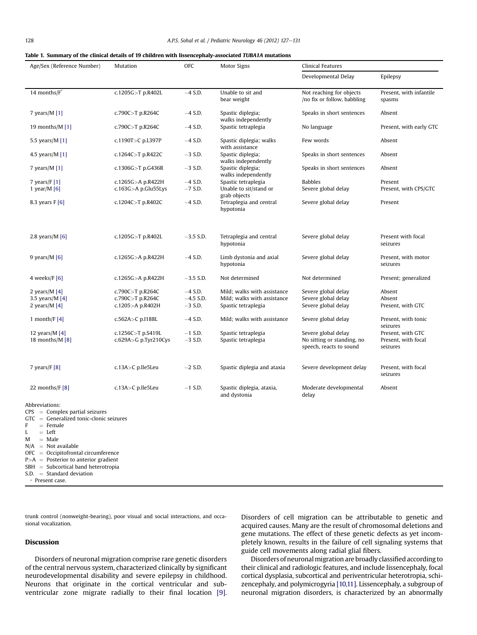#### <span id="page-1-0"></span>Table 1. Summary of the clinical details of 19 children with lissencephaly-associated TUBA1A mutations

| Age/Sex (Reference Number)                                                                                                                                                                                                                                                                    | Mutation                 | OFC         | <b>Motor Signs</b>                         | Clinical Features                                       |                                   |
|-----------------------------------------------------------------------------------------------------------------------------------------------------------------------------------------------------------------------------------------------------------------------------------------------|--------------------------|-------------|--------------------------------------------|---------------------------------------------------------|-----------------------------------|
|                                                                                                                                                                                                                                                                                               |                          |             |                                            | Developmental Delay                                     | Epilepsy                          |
| 14 months/F*                                                                                                                                                                                                                                                                                  | c.1205G>T p.R402L        | $-4$ S.D.   | Unable to sit and<br>bear weight           | Not reaching for objects<br>/no fix or follow, babbling | Present, with infantile<br>spasms |
| 7 years/ $M$ [1]                                                                                                                                                                                                                                                                              | c.790C>T p.R264C         | $-4$ S.D.   | Spastic diplegia;<br>walks independently   | Speaks in short sentences                               | Absent                            |
| 19 months/M $[1]$                                                                                                                                                                                                                                                                             | c.790C>T p.R264C         | $-4$ S.D.   | Spastic tetraplegia                        | No language                                             | Present, with early GTC           |
| 5.5 years/M [1]                                                                                                                                                                                                                                                                               | c.1190T>C p.L397P        | $-4$ S.D.   | Spastic diplegia; walks<br>with assistance | Few words                                               | Absent                            |
| 4.5 years/ $M$ [1]                                                                                                                                                                                                                                                                            | c.1264C>T p.R422C        | $-3$ S.D.   | Spastic diplegia;<br>walks independently   | Speaks in short sentences                               | Absent                            |
| 7 years/M [1]                                                                                                                                                                                                                                                                                 | c.1306G>T p.G436R        | $-3$ S.D.   | Spastic diplegia;<br>walks independently   | Speaks in short sentences                               | Absent                            |
| 7 years/ $F[1]$                                                                                                                                                                                                                                                                               | c.1265G>A p.R422H        | $-4$ S.D.   | Spastic tetraplegia                        | <b>Babbles</b>                                          | Present                           |
| 1 year/M $[6]$                                                                                                                                                                                                                                                                                | c.163G>A p.Glu55Lys      | $-7$ S.D.   | Unable to sit/stand or<br>grab objects     | Severe global delay                                     | Present, with CPS/GTC             |
| 8.3 years $F[6]$                                                                                                                                                                                                                                                                              | c.1204C>T p.R402C        | $-4$ S.D.   | Tetraplegia and central<br>hypotonia       | Severe global delay                                     | Present                           |
|                                                                                                                                                                                                                                                                                               |                          |             |                                            |                                                         |                                   |
| 2.8 years/ $M[6]$                                                                                                                                                                                                                                                                             | c.1205G>T p.R402L        | $-3.5$ S.D. | Tetraplegia and central<br>hypotonia       | Severe global delay                                     | Present with focal<br>seizures    |
| 9 years/ $M$ [6]                                                                                                                                                                                                                                                                              | c.1265G>A p.R422H        | $-4$ S.D.   | Limb dystonia and axial<br>hypotonia       | Severe global delay                                     | Present, with motor<br>seizures   |
| 4 weeks/ $F[6]$                                                                                                                                                                                                                                                                               | c.1265G>A p.R422H        | $-3.5$ S.D. | Not determined                             | Not determined                                          | Present; generalized              |
| 2 years/ $M[4]$                                                                                                                                                                                                                                                                               | c.790C>T p.R264C         | $-4$ S.D.   | Mild; walks with assistance                | Severe global delay                                     | Absent                            |
|                                                                                                                                                                                                                                                                                               | c.790C>T p.R264C         | $-4.5$ S.D. | Mild; walks with assistance                |                                                         | Absent                            |
| 3.5 years/ $M[4]$                                                                                                                                                                                                                                                                             |                          |             |                                            | Severe global delay                                     |                                   |
| 2 years/ $M[4]$                                                                                                                                                                                                                                                                               | c.1205>A p.R402H         | $-3$ S.D.   | Spastic tetraplegia                        | Severe global delay                                     | Present, with GTC                 |
| 1 month/ $F[4]$                                                                                                                                                                                                                                                                               | c.562A>C p.I188L         | $-4$ S.D.   | Mild; walks with assistance                | Severe global delay                                     | Present, with tonic<br>seizures   |
| 12 years/ $M$ [4]                                                                                                                                                                                                                                                                             | c.1256C>T p.S419L        | $-1$ S.D.   | Spastic tetraplegia                        | Severe global delay                                     | Present, with GTC                 |
| 18 months/M $[8]$                                                                                                                                                                                                                                                                             | $c.629A > G$ p.Tyr210Cys | $-3$ S.D.   | Spastic tetraplegia                        | No sitting or standing, no<br>speech, reacts to sound   | Present, with focal<br>seizures   |
| 7 years/ $F[8]$                                                                                                                                                                                                                                                                               | c.13A>C p.lle5Leu        | $-2$ S.D.   | Spastic diplegia and ataxia                | Severe development delay                                | Present, with focal<br>seizures   |
| 22 months/ $F[8]$                                                                                                                                                                                                                                                                             | c.13A>C p.lle5Leu        | $-1$ S.D.   | Spastic diplegia, ataxia,<br>and dystonia  | Moderate developmental<br>delay                         | Absent                            |
| Abbreviations:<br>$CPS = Complex$ partial seizures<br>$GTC = Generalized tonic-clonic seizures$<br>$=$ Female<br>$=$ Left<br>M<br>$=$ Male<br>$N/A$ = Not available<br>$OFC = Occipitofrontal circumference$<br>$P>A = Posterior to anterior gradient$<br>SBH = Subcortical band heterotropia |                          |             |                                            |                                                         |                                   |

 $S.D. = Standard deviation$ 

\* Present case.

trunk control (nonweight-bearing), poor visual and social interactions, and occasional vocalization.

# Discussion

Disorders of neuronal migration comprise rare genetic disorders of the central nervous system, characterized clinically by significant neurodevelopmental disability and severe epilepsy in childhood. Neurons that originate in the cortical ventricular and subventricular zone migrate radially to their final location [\[9\].](#page-4-0)

Disorders of cell migration can be attributable to genetic and acquired causes. Many are the result of chromosomal deletions and gene mutations. The effect of these genetic defects as yet incompletely known, results in the failure of cell signaling systems that guide cell movements along radial glial fibers.

Disorders of neuronal migration are broadly classified according to their clinical and radiologic features, and include lissencephaly, focal cortical dysplasia, subcortical and periventricular heterotropia, schizencephaly, and polymicrogyria [\[10,11\]](#page-4-0). Lissencephaly, a subgroup of neuronal migration disorders, is characterized by an abnormally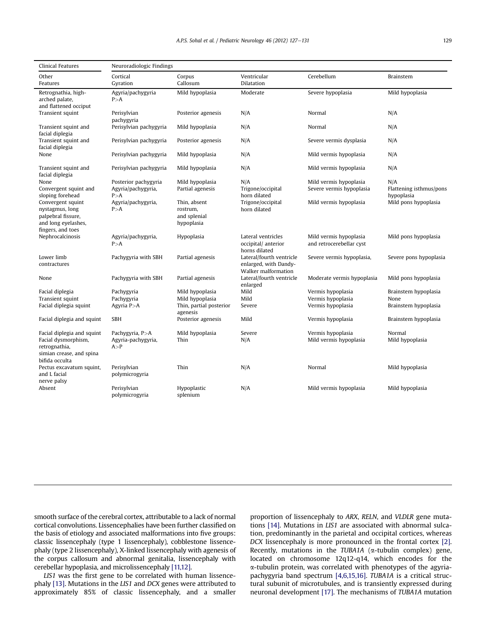| Clinical Features                                                                                                | Neuroradiologic Findings                            |                                                        |                                                                          |                                                    |                                              |  |  |  |
|------------------------------------------------------------------------------------------------------------------|-----------------------------------------------------|--------------------------------------------------------|--------------------------------------------------------------------------|----------------------------------------------------|----------------------------------------------|--|--|--|
| Other<br>Features                                                                                                | Cortical<br>Gyration                                | Corpus<br>Callosum                                     | Ventricular<br>Dilatation                                                | Cerebellum                                         | <b>Brainstem</b>                             |  |  |  |
| Retrognathia, high-<br>arched palate,<br>and flattened occiput                                                   | Agyria/pachygyria<br>P > A                          | Mild hypoplasia                                        | Moderate                                                                 | Severe hypoplasia                                  | Mild hypoplasia                              |  |  |  |
| Transient squint                                                                                                 | Perisylvian<br>pachygyria                           | Posterior agenesis                                     | N/A                                                                      | Normal                                             | N/A                                          |  |  |  |
| Transient squint and<br>facial diplegia                                                                          | Perisylvian pachygyria                              | Mild hypoplasia                                        | N/A                                                                      | Normal                                             | N/A                                          |  |  |  |
| Transient squint and<br>facial diplegia                                                                          | Perisylvian pachygyria                              | Posterior agenesis                                     | N/A                                                                      | Severe vermis dysplasia                            | N/A                                          |  |  |  |
| None                                                                                                             | Perisylvian pachygyria                              | Mild hypoplasia                                        | N/A                                                                      | Mild vermis hypoplasia                             | N/A                                          |  |  |  |
| Transient squint and<br>facial diplegia                                                                          | Perisylvian pachygyria                              | Mild hypoplasia                                        | N/A                                                                      | Mild vermis hypoplasia                             | N/A                                          |  |  |  |
| None<br>Convergent squint and<br>sloping forehead                                                                | Posterior pachygyria<br>Agyria/pachygyria,<br>P > A | Mild hypoplasia<br>Partial agenesis                    | N/A<br>Trigone/occipital<br>horn dilated                                 | Mild vermis hypoplasia<br>Severe vermis hypoplasia | N/A<br>Flattening isthmus/pons<br>hypoplasia |  |  |  |
| Convergent squint<br>nystagmus, long<br>palpebral fissure,<br>and long eyelashes,<br>fingers, and toes           | Agyria/pachygyria,<br>P > A                         | Thin, absent<br>rostrum.<br>and splenial<br>hypoplasia | Trigone/occipital<br>horn dilated                                        | Mild vermis hypoplasia                             | Mild pons hypoplasia                         |  |  |  |
| Nephrocalcinosis                                                                                                 | Agyria/pachygyria,<br>P > A                         | Hypoplasia                                             | Lateral ventricles<br>occipital/ anterior<br>horns dilated               | Mild vermis hypoplasia<br>and retrocerebellar cyst | Mild pons hypoplasia                         |  |  |  |
| Lower limb<br>contractures                                                                                       | Pachygyria with SBH                                 | Partial agenesis                                       | Lateral/fourth ventricle<br>enlarged, with Dandy-<br>Walker malformation | Severe vermis hypoplasia,                          | Severe pons hypoplasia                       |  |  |  |
| None                                                                                                             | Pachygyria with SBH                                 | Partial agenesis                                       | Lateral/fourth ventricle<br>enlarged                                     | Moderate vermis hypoplasia                         | Mild pons hypoplasia                         |  |  |  |
| Facial diplegia                                                                                                  | Pachygyria                                          | Mild hypoplasia                                        | Mild                                                                     | Vermis hypoplasia                                  | Brainstem hypoplasia                         |  |  |  |
| Transient squint                                                                                                 | Pachygyria                                          | Mild hypoplasia                                        | Mild                                                                     | Vermis hypoplasia                                  | None                                         |  |  |  |
| Facial diplegia squint                                                                                           | Agyria $P > A$                                      | Thin, partial posterior<br>agenesis                    | Severe                                                                   | Vermis hypoplasia                                  | Brainstem hypoplasia                         |  |  |  |
| Facial diplegia and squint                                                                                       | <b>SBH</b>                                          | Posterior agenesis                                     | Mild                                                                     | Vermis hypoplasia                                  | Brainstem hypoplasia                         |  |  |  |
| Facial diplegia and squint<br>Facial dysmorphism,<br>retrognathia,<br>simian crease, and spina<br>bifida occulta | Pachygyria, P>A<br>Agyria-pachygyria,<br>A > P      | Mild hypoplasia<br>Thin                                | Severe<br>N/A                                                            | Vermis hypoplasia<br>Mild vermis hypoplasia        | Normal<br>Mild hypoplasia                    |  |  |  |
| Pectus excavatum squint,<br>and L facial<br>nerve palsy                                                          | Perisylvian<br>polymicrogyria                       | Thin                                                   | N/A                                                                      | Normal                                             | Mild hypoplasia                              |  |  |  |
| Absent                                                                                                           | Perisylvian<br>polymicrogyria                       | Hypoplastic<br>splenium                                | N/A                                                                      | Mild vermis hypoplasia                             | Mild hypoplasia                              |  |  |  |

smooth surface of the cerebral cortex, attributable to a lack of normal cortical convolutions. Lissencephalies have been further classified on the basis of etiology and associated malformations into five groups: classic lissencephaly (type 1 lissencephaly), cobblestone lissencephaly (type 2 lissencephaly), X-linked lissencephaly with agenesis of the corpus callosum and abnormal genitalia, lissencephaly with cerebellar hypoplasia, and microlissencephaly [\[11,12\]](#page-4-0).

LIS1 was the first gene to be correlated with human lissencephaly [\[13\].](#page-4-0) Mutations in the LIS1 and DCX genes were attributed to approximately 85% of classic lissencephaly, and a smaller proportion of lissencephaly to ARX, RELN, and VLDLR gene mutations [\[14\]](#page-4-0). Mutations in LIS1 are associated with abnormal sulcation, predominantly in the parietal and occipital cortices, whereas DCX lissencephaly is more pronounced in the frontal cortex [\[2\].](#page-4-0) Recently, mutations in the TUBA1A ( $\alpha$ -tubulin complex) gene, located on chromosome 12q12-q14, which encodes for the a-tubulin protein, was correlated with phenotypes of the agyriapachygyria band spectrum [\[4,6,15,16\].](#page-4-0) TUBA1A is a critical structural subunit of microtubules, and is transiently expressed during neuronal development [\[17\].](#page-4-0) The mechanisms of TUBA1A mutation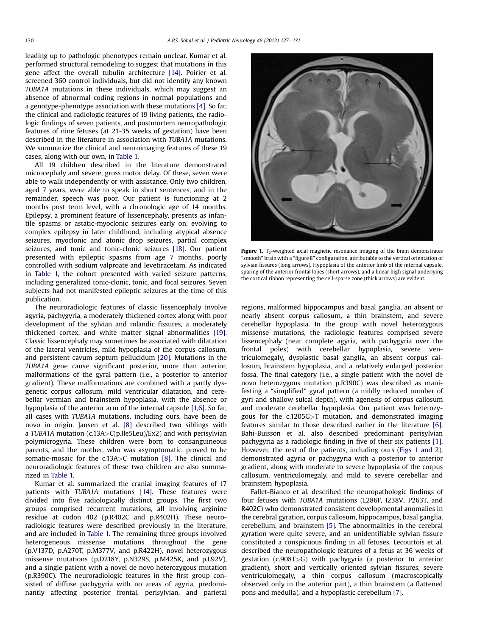leading up to pathologic phenotypes remain unclear. Kumar et al. performed structural remodeling to suggest that mutations in this gene affect the overall tubulin architecture [\[14\]](#page-4-0). Poirier et al. screened 360 control individuals, but did not identify any known TUBA1A mutations in these individuals, which may suggest an absence of abnormal coding regions in normal populations and a genotype-phenotype association with these mutations [\[4\].](#page-4-0) So far, the clinical and radiologic features of 19 living patients, the radiologic findings of seven patients, and postmortem neuropathologic features of nine fetuses (at 21-35 weeks of gestation) have been described in the literature in association with TUBA1A mutations. We summarize the clinical and neuroimaging features of these 19 cases, along with our own, in [Table 1.](#page-1-0)

All 19 children described in the literature demonstrated microcephaly and severe, gross motor delay. Of these, seven were able to walk independently or with assistance. Only two children, aged 7 years, were able to speak in short sentences, and in the remainder, speech was poor. Our patient is functioning at 2 months post term level, with a chronologic age of 14 months. Epilepsy, a prominent feature of lissencephaly, presents as infantile spasms or astatic-myoclonic seizures early on, evolving to complex epilepsy in later childhood, including atypical absence seizures, myoclonic and atonic drop seizures, partial complex seizures, and tonic and tonic-clonic seizures [\[18\].](#page-4-0) Our patient presented with epileptic spasms from age 7 months, poorly controlled with sodium valproate and levetiracetam. As indicated in [Table 1,](#page-1-0) the cohort presented with varied seizure patterns, including generalized tonic-clonic, tonic, and focal seizures. Seven subjects had not manifested epileptic seizures at the time of this publication.

The neuroradiologic features of classic lissencephaly involve agyria, pachygyria, a moderately thickened cortex along with poor development of the sylvian and rolandic fissures, a moderately thickened cortex, and white matter signal abnormalities [\[19\].](#page-4-0) Classic lissencephaly may sometimes be associated with dilatation of the lateral ventricles, mild hypoplasia of the corpus callosum, and persistent cavum septum pellucidum [\[20\].](#page-4-0) Mutations in the TUBA1A gene cause significant posterior, more than anterior, malformations of the gyral pattern (i.e., a posterior to anterior gradient). These malformations are combined with a partly dysgenetic corpus callosum, mild ventricular dilatation, and cerebellar vermian and brainstem hypoplasia, with the absence or hypoplasia of the anterior arm of the internal capsule [\[1,6\].](#page-4-0) So far, all cases with TUBA1A mutations, including ours, have been de novo in origin. Jansen et al. [\[8\]](#page-4-0) described two siblings with a TUBA1A mutation (c.13A>C(p.lle5Leu)/Ex2) and with perisylvian polymicrogyria. These children were born to consanguineous parents, and the mother, who was asymptomatic, proved to be somatic-mosaic for the c.13A>C mutation [\[8\]](#page-4-0). The clinical and neuroradiologic features of these two children are also summarized in [Table 1.](#page-1-0)

Kumar et al. summarized the cranial imaging features of 17 patients with TUBA1A mutations [\[14\]](#page-4-0). These features were divided into five radiologically distinct groups. The first two groups comprised recurrent mutations, all involving arginine residue at codon 402 (p.R402C and p.R402H). These neuroradiologic features were described previously in the literature, and are included in [Table 1.](#page-1-0) The remaining three groups involved heterogeneous missense mutations throughout the gene (p.V137D, p.A270T, p.M377V, and p.R422H), novel heterozygous missense mutations (p.D218Y, p.N329S, p.M425K, and p.L92V), and a single patient with a novel de novo heterozygous mutation (p.R390C). The neuroradiologic features in the first group consisted of diffuse pachygyria with no areas of agyria, predominantly affecting posterior frontal, perisylvian, and parietal



Figure 1. T<sub>2</sub>-weighted axial magnetic resonance imaging of the brain demonstrates "smooth" brain with a "figure 8" configuration, attributable to the vertical orientation of sylvian fissures (long arrows). Hypoplasia of the anterior limb of the internal capsule, sparing of the anterior frontal lobes (short arrows), and a linear high signal underlying the cortical ribbon representing the cell-sparse zone (thick arrows) are evident.

regions, malformed hippocampus and basal ganglia, an absent or nearly absent corpus callosum, a thin brainstem, and severe cerebellar hypoplasia. In the group with novel heterozygous missense mutations, the radiologic features comprised severe lissencephaly (near complete agyria, with pachygyria over the frontal poles) with cerebellar hypoplasia, severe ventriculomegaly, dysplastic basal ganglia, an absent corpus callosum, brainstem hypoplasia, and a relatively enlarged posterior fossa. The final category (i.e., a single patient with the novel de novo heterozygous mutation p.R390C) was described as manifesting a "simplified" gyral pattern (a mildly reduced number of gyri and shallow sulcal depth), with agenesis of corpus callosum and moderate cerebellar hypoplasia. Our patient was heterozygous for the c.1205G>T mutation, and demonstrated imaging features similar to those described earlier in the literature [\[6\].](#page-4-0) Bahi-Buisson et al. also described predominant perisylvian pachygyria as a radiologic finding in five of their six patients [\[1\].](#page-4-0) However, the rest of the patients, including ours (Figs 1 and 2), demonstrated agyria or pachygyria with a posterior to anterior gradient, along with moderate to severe hypoplasia of the corpus callosum, ventriculomegaly, and mild to severe cerebellar and brainstem hypoplasia.

Fallet-Bianco et al. described the neuropathologic findings of four fetuses with TUBA1A mutations (L286F, I238V, P263T, and R402C) who demonstrated consistent developmental anomalies in the cerebral gyration, corpus callosum, hippocampus, basal ganglia, cerebellum, and brainstem [\[5\]](#page-4-0). The abnormalities in the cerebral gyration were quite severe, and an unidentifiable sylvian fissure constituted a conspicuous finding in all fetuses. Lecourtois et al. described the neuropathologic features of a fetus at 36 weeks of gestation (c.908T>G) with pachygyria (a posterior to anterior gradient), short and vertically oriented sylvian fissures, severe ventriculomegaly, a thin corpus callosum (macroscopically observed only in the anterior part), a thin brainstem (a flattened pons and medulla), and a hypoplastic cerebellum [\[7\]](#page-4-0).